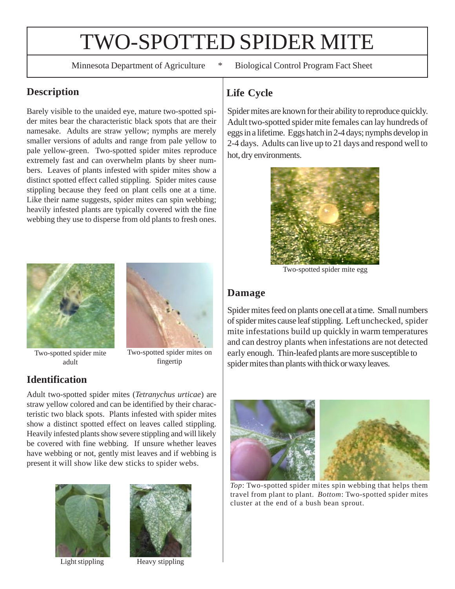# TWO-SPOTTED SPIDER MITE

Minnesota Department of Agriculture \* Biological Control Program Fact Sheet

## **Description**

Barely visible to the unaided eye, mature two-spotted spider mites bear the characteristic black spots that are their namesake. Adults are straw yellow; nymphs are merely smaller versions of adults and range from pale yellow to pale yellow-green. Two-spotted spider mites reproduce extremely fast and can overwhelm plants by sheer numbers. Leaves of plants infested with spider mites show a distinct spotted effect called stippling. Spider mites cause stippling because they feed on plant cells one at a time. Like their name suggests, spider mites can spin webbing; heavily infested plants are typically covered with the fine webbing they use to disperse from old plants to fresh ones.





fingertip

Two-spotted spider mite adult

## **Identification**

Adult two-spotted spider mites (*Tetranychus urticae*) are straw yellow colored and can be identified by their characteristic two black spots. Plants infested with spider mites show a distinct spotted effect on leaves called stippling. Heavily infested plants show severe stippling and will likely be covered with fine webbing. If unsure whether leaves have webbing or not, gently mist leaves and if webbing is present it will show like dew sticks to spider webs.





Light stippling Heavy stippling

# **Life Cycle**

Spider mites are known for their ability to reproduce quickly. Adult two-spotted spider mite females can lay hundreds of eggs in a lifetime. Eggs hatch in 2-4 days; nymphs develop in 2-4 days. Adults can live up to 21 days and respond well to hot, dry environments.



Two-spotted spider mite egg

#### **Damage**

Spider mites feed on plants one cell at a time. Small numbers of spider mites cause leaf stippling. Left unchecked, spider mite infestations build up quickly in warm temperatures and can destroy plants when infestations are not detected early enough. Thin-leafed plants are more susceptible to spider mites than plants with thick or waxy leaves.



*Top*: Two-spotted spider mites spin webbing that helps them travel from plant to plant. *Bottom*: Two-spotted spider mites cluster at the end of a bush bean sprout.